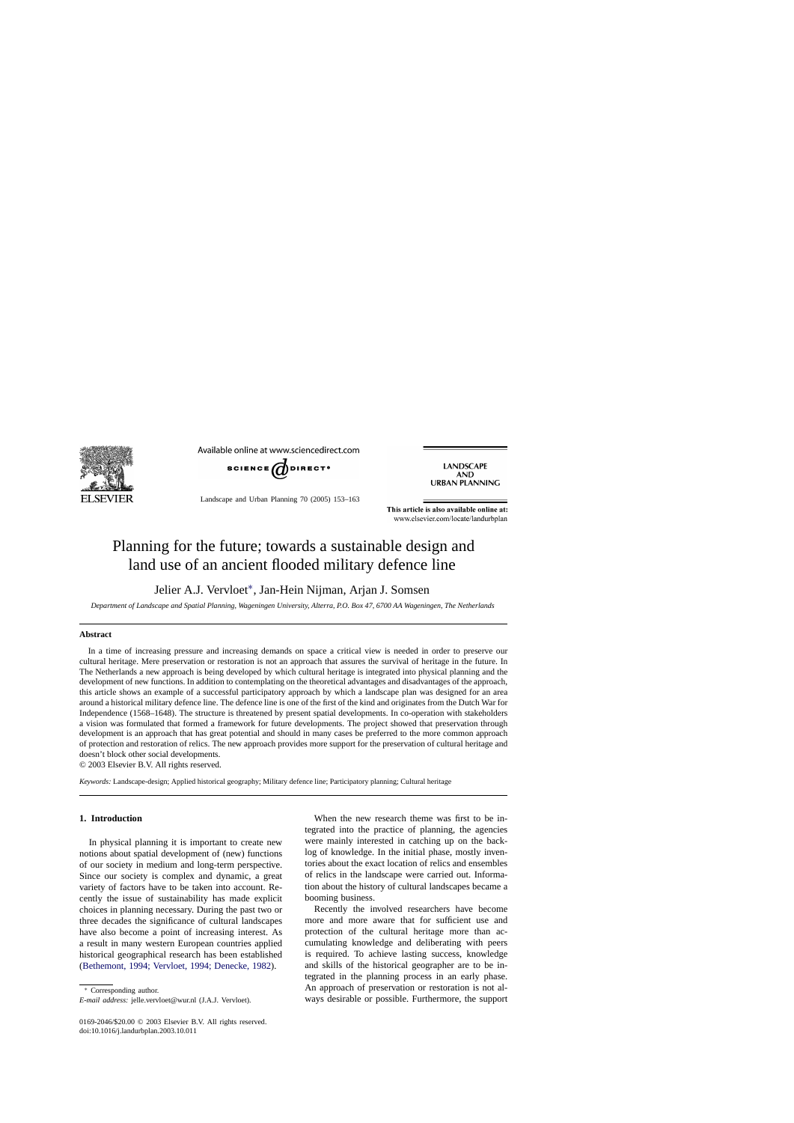

Available online at www.sciencedirect.com



Landscape and Urban Planning 70 (2005) 153–163

**LANDSCAPE AND URBAN PLANNING** 

This article is also available online at: www.elsevier.com/locate/landurbplan

## Planning for the future; towards a sustainable design and land use of an ancient flooded military defence line

Jelier A.J. Vervloet∗, Jan-Hein Nijman, Arjan J. Somsen

*Department of Landscape and Spatial Planning, Wageningen University, Alterra, P.O. Box 47, 6700 AA Wageningen, The Netherlands*

## **Abstract**

In a time of increasing pressure and increasing demands on space a critical view is needed in order to preserve our cultural heritage. Mere preservation or restoration is not an approach that assures the survival of heritage in the future. In The Netherlands a new approach is being developed by which cultural heritage is integrated into physical planning and the development of new functions. In addition to contemplating on the theoretical advantages and disadvantages of the approach, this article shows an example of a successful participatory approach by which a landscape plan was designed for an area around a historical military defence line. The defence line is one of the first of the kind and originates from the Dutch War for Independence (1568–1648). The structure is threatened by present spatial developments. In co-operation with stakeholders a vision was formulated that formed a framework for future developments. The project showed that preservation through development is an approach that has great potential and should in many cases be preferred to the more common approach of protection and restoration of relics. The new approach provides more support for the preservation of cultural heritage and doesn't block other social developments.

© 2003 Elsevier B.V. All rights reserved.

*Keywords:* Landscape-design; Applied historical geography; Military defence line; Participatory planning; Cultural heritage

## **1. Introduction**

In physical planning it is important to create new notions about spatial development of (new) functions of our society in medium and long-term perspective. Since our society is complex and dynamic, a great variety of factors have to be taken into account. Recently the issue of sustainability has made explicit choices in planning necessary. During the past two or three decades the significance of cultural landscapes have also become a point of increasing interest. As a result in many western European countries applied historical geographical research has been established ([Bethemont, 1994; Vervloet, 1994; Denecke, 1982\).](#page--1-0)

Corresponding author. *E-mail address:* jelle.vervloet@wur.nl (J.A.J. Vervloet).

0169-2046/\$20.00 © 2003 Elsevier B.V. All rights reserved. doi:10.1016/j.landurbplan.2003.10.011

When the new research theme was first to be integrated into the practice of planning, the agencies were mainly interested in catching up on the backlog of knowledge. In the initial phase, mostly inventories about the exact location of relics and ensembles of relics in the landscape were carried out. Information about the history of cultural landscapes became a booming business.

Recently the involved researchers have become more and more aware that for sufficient use and protection of the cultural heritage more than accumulating knowledge and deliberating with peers is required. To achieve lasting success, knowledge and skills of the historical geographer are to be integrated in the planning process in an early phase. An approach of preservation or restoration is not always desirable or possible. Furthermore, the support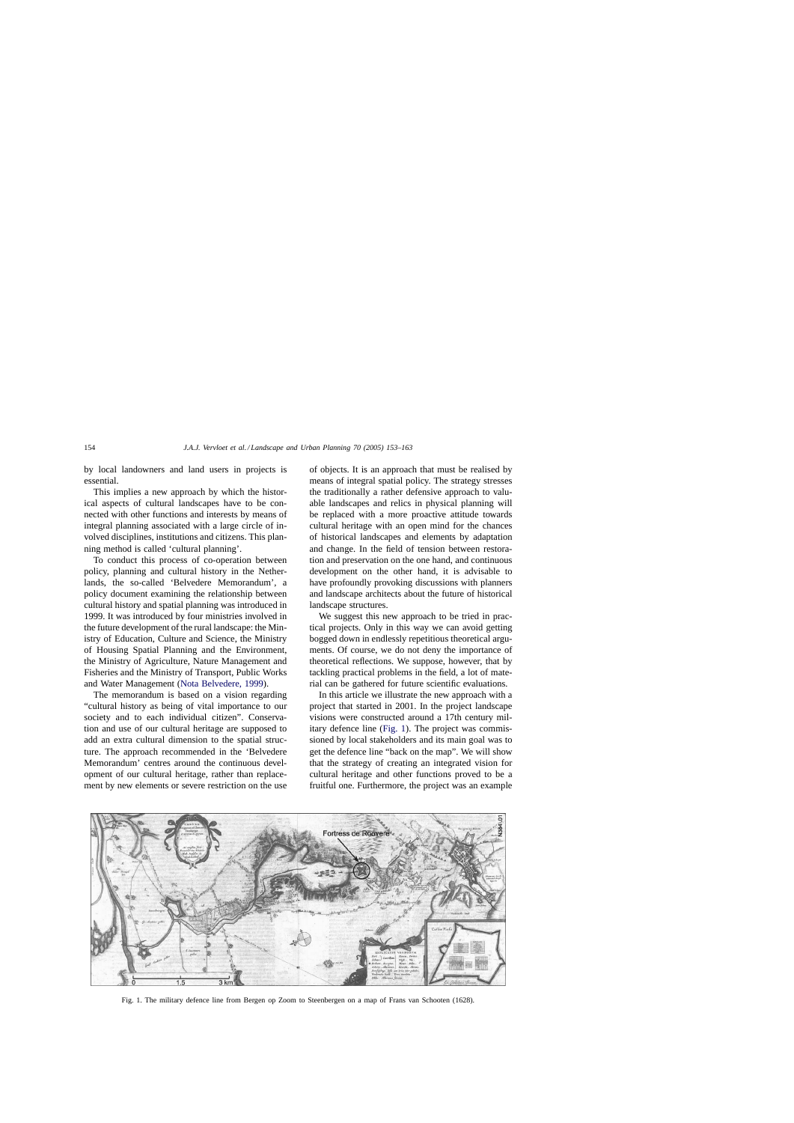by local landowners and land users in projects is essential.

This implies a new approach by which the historical aspects of cultural landscapes have to be connected with other functions and interests by means of integral planning associated with a large circle of involved disciplines, institutions and citizens. This planning method is called 'cultural planning'.

To conduct this process of co-operation between policy, planning and cultural history in the Netherlands, the so-called 'Belvedere Memorandum', a policy document examining the relationship between cultural history and spatial planning was introduced in 1999. It was introduced by four ministries involved in the future development of the rural landscape: the Ministry of Education, Culture and Science, the Ministry of Housing Spatial Planning and the Environment, the Ministry of Agriculture, Nature Management and Fisheries and the Ministry of Transport, Public Works and Water Management [\(Nota Belvedere, 1999\).](#page--1-0)

The memorandum is based on a vision regarding "cultural history as being of vital importance to our society and to each individual citizen". Conservation and use of our cultural heritage are supposed to add an extra cultural dimension to the spatial structure. The approach recommended in the 'Belvedere Memorandum' centres around the continuous development of our cultural heritage, rather than replacement by new elements or severe restriction on the use of objects. It is an approach that must be realised by means of integral spatial policy. The strategy stresses the traditionally a rather defensive approach to valuable landscapes and relics in physical planning will be replaced with a more proactive attitude towards cultural heritage with an open mind for the chances of historical landscapes and elements by adaptation and change. In the field of tension between restoration and preservation on the one hand, and continuous development on the other hand, it is advisable to have profoundly provoking discussions with planners and landscape architects about the future of historical landscape structures.

We suggest this new approach to be tried in practical projects. Only in this way we can avoid getting bogged down in endlessly repetitious theoretical arguments. Of course, we do not deny the importance of theoretical reflections. We suppose, however, that by tackling practical problems in the field, a lot of material can be gathered for future scientific evaluations.

In this article we illustrate the new approach with a project that started in 2001. In the project landscape visions were constructed around a 17th century military defence line (Fig. 1). The project was commissioned by local stakeholders and its main goal was to get the defence line "back on the map". We will show that the strategy of creating an integrated vision for cultural heritage and other functions proved to be a fruitful one. Furthermore, the project was an example



Fig. 1. The military defence line from Bergen op Zoom to Steenbergen on a map of Frans van Schooten (1628).